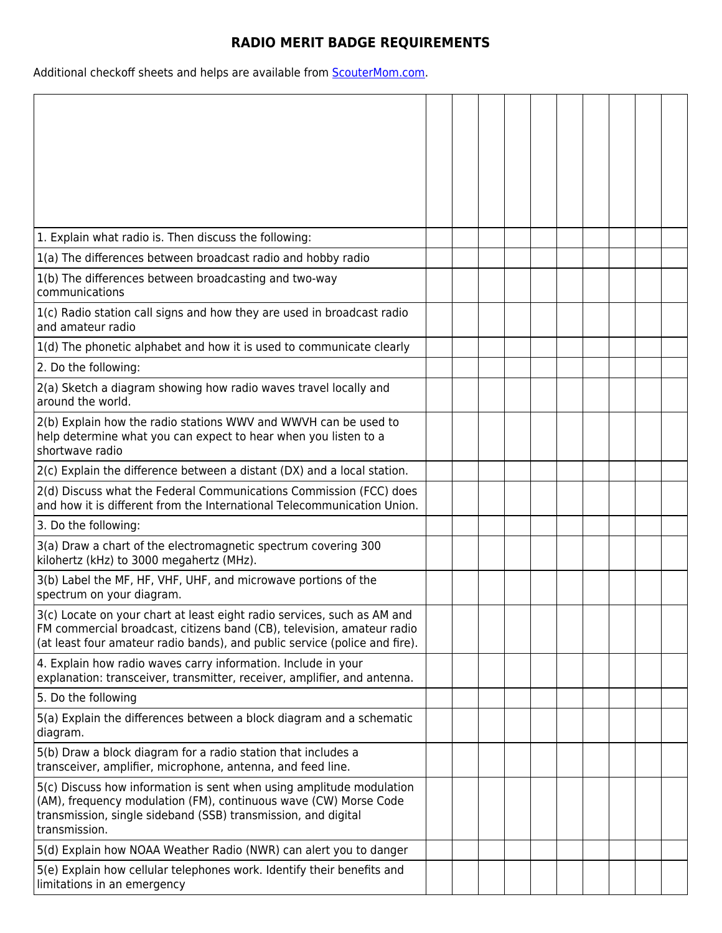## **RADIO MERIT BADGE REQUIREMENTS**

Additional checkoff sheets and helps are available from **ScouterMom.com**.

| 1. Explain what radio is. Then discuss the following:                                                                                                                                                                           |  |  |  |  |  |
|---------------------------------------------------------------------------------------------------------------------------------------------------------------------------------------------------------------------------------|--|--|--|--|--|
| 1(a) The differences between broadcast radio and hobby radio                                                                                                                                                                    |  |  |  |  |  |
| 1(b) The differences between broadcasting and two-way<br>communications                                                                                                                                                         |  |  |  |  |  |
| 1(c) Radio station call signs and how they are used in broadcast radio<br>and amateur radio                                                                                                                                     |  |  |  |  |  |
| 1(d) The phonetic alphabet and how it is used to communicate clearly                                                                                                                                                            |  |  |  |  |  |
| 2. Do the following:                                                                                                                                                                                                            |  |  |  |  |  |
| 2(a) Sketch a diagram showing how radio waves travel locally and<br>around the world.                                                                                                                                           |  |  |  |  |  |
| 2(b) Explain how the radio stations WWV and WWVH can be used to<br>help determine what you can expect to hear when you listen to a<br>shortwave radio                                                                           |  |  |  |  |  |
| 2(c) Explain the difference between a distant (DX) and a local station.                                                                                                                                                         |  |  |  |  |  |
| 2(d) Discuss what the Federal Communications Commission (FCC) does<br>and how it is different from the International Telecommunication Union.                                                                                   |  |  |  |  |  |
| 3. Do the following:                                                                                                                                                                                                            |  |  |  |  |  |
| 3(a) Draw a chart of the electromagnetic spectrum covering 300<br>kilohertz (kHz) to 3000 megahertz (MHz).                                                                                                                      |  |  |  |  |  |
| 3(b) Label the MF, HF, VHF, UHF, and microwave portions of the<br>spectrum on your diagram.                                                                                                                                     |  |  |  |  |  |
| 3(c) Locate on your chart at least eight radio services, such as AM and<br>FM commercial broadcast, citizens band (CB), television, amateur radio<br>(at least four amateur radio bands), and public service (police and fire). |  |  |  |  |  |
| 4. Explain how radio waves carry information. Include in your<br>explanation: transceiver, transmitter, receiver, amplifier, and antenna.                                                                                       |  |  |  |  |  |
| 5. Do the following                                                                                                                                                                                                             |  |  |  |  |  |
| 5(a) Explain the differences between a block diagram and a schematic<br>diagram.                                                                                                                                                |  |  |  |  |  |
| 5(b) Draw a block diagram for a radio station that includes a<br>transceiver, amplifier, microphone, antenna, and feed line.                                                                                                    |  |  |  |  |  |
| 5(c) Discuss how information is sent when using amplitude modulation<br>(AM), frequency modulation (FM), continuous wave (CW) Morse Code<br>transmission, single sideband (SSB) transmission, and digital<br>transmission.      |  |  |  |  |  |
| 5(d) Explain how NOAA Weather Radio (NWR) can alert you to danger                                                                                                                                                               |  |  |  |  |  |
| 5(e) Explain how cellular telephones work. Identify their benefits and<br>limitations in an emergency                                                                                                                           |  |  |  |  |  |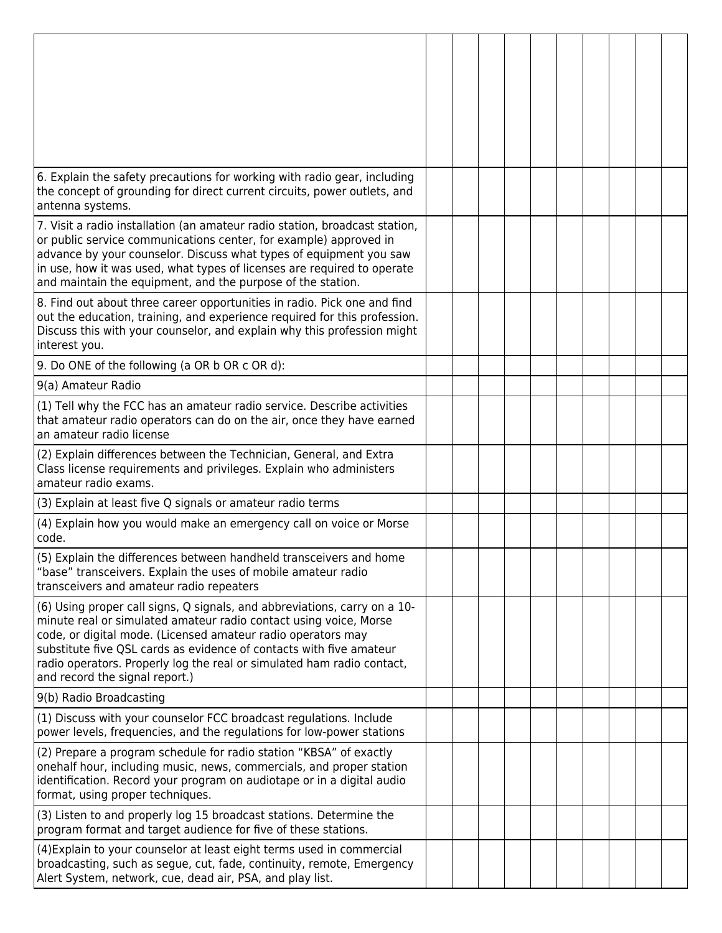| 6. Explain the safety precautions for working with radio gear, including<br>the concept of grounding for direct current circuits, power outlets, and<br>antenna systems.                                                                                                                                                                                                                          |  |  |  |  |  |
|---------------------------------------------------------------------------------------------------------------------------------------------------------------------------------------------------------------------------------------------------------------------------------------------------------------------------------------------------------------------------------------------------|--|--|--|--|--|
| 7. Visit a radio installation (an amateur radio station, broadcast station,<br>or public service communications center, for example) approved in<br>advance by your counselor. Discuss what types of equipment you saw<br>in use, how it was used, what types of licenses are required to operate<br>and maintain the equipment, and the purpose of the station.                                  |  |  |  |  |  |
| 8. Find out about three career opportunities in radio. Pick one and find<br>out the education, training, and experience required for this profession.<br>Discuss this with your counselor, and explain why this profession might<br>interest you.                                                                                                                                                 |  |  |  |  |  |
| 9. Do ONE of the following (a OR b OR c OR d):                                                                                                                                                                                                                                                                                                                                                    |  |  |  |  |  |
| 9(a) Amateur Radio                                                                                                                                                                                                                                                                                                                                                                                |  |  |  |  |  |
| (1) Tell why the FCC has an amateur radio service. Describe activities<br>that amateur radio operators can do on the air, once they have earned<br>an amateur radio license                                                                                                                                                                                                                       |  |  |  |  |  |
| (2) Explain differences between the Technician, General, and Extra<br>Class license requirements and privileges. Explain who administers<br>amateur radio exams.                                                                                                                                                                                                                                  |  |  |  |  |  |
| (3) Explain at least five Q signals or amateur radio terms                                                                                                                                                                                                                                                                                                                                        |  |  |  |  |  |
| (4) Explain how you would make an emergency call on voice or Morse<br>code.                                                                                                                                                                                                                                                                                                                       |  |  |  |  |  |
| (5) Explain the differences between handheld transceivers and home<br>"base" transceivers. Explain the uses of mobile amateur radio<br>transceivers and amateur radio repeaters                                                                                                                                                                                                                   |  |  |  |  |  |
| (6) Using proper call signs, Q signals, and abbreviations, carry on a 10-<br>minute real or simulated amateur radio contact using voice, Morse<br>code, or digital mode. (Licensed amateur radio operators may<br>substitute five QSL cards as evidence of contacts with five amateur<br>radio operators. Properly log the real or simulated ham radio contact,<br>and record the signal report.) |  |  |  |  |  |
| 9(b) Radio Broadcasting                                                                                                                                                                                                                                                                                                                                                                           |  |  |  |  |  |
| (1) Discuss with your counselor FCC broadcast regulations. Include<br>power levels, frequencies, and the regulations for low-power stations                                                                                                                                                                                                                                                       |  |  |  |  |  |
| (2) Prepare a program schedule for radio station "KBSA" of exactly<br>onehalf hour, including music, news, commercials, and proper station<br>identification. Record your program on audiotape or in a digital audio<br>format, using proper techniques.                                                                                                                                          |  |  |  |  |  |
| (3) Listen to and properly log 15 broadcast stations. Determine the<br>program format and target audience for five of these stations.                                                                                                                                                                                                                                                             |  |  |  |  |  |
| (4) Explain to your counselor at least eight terms used in commercial<br>broadcasting, such as segue, cut, fade, continuity, remote, Emergency<br>Alert System, network, cue, dead air, PSA, and play list.                                                                                                                                                                                       |  |  |  |  |  |